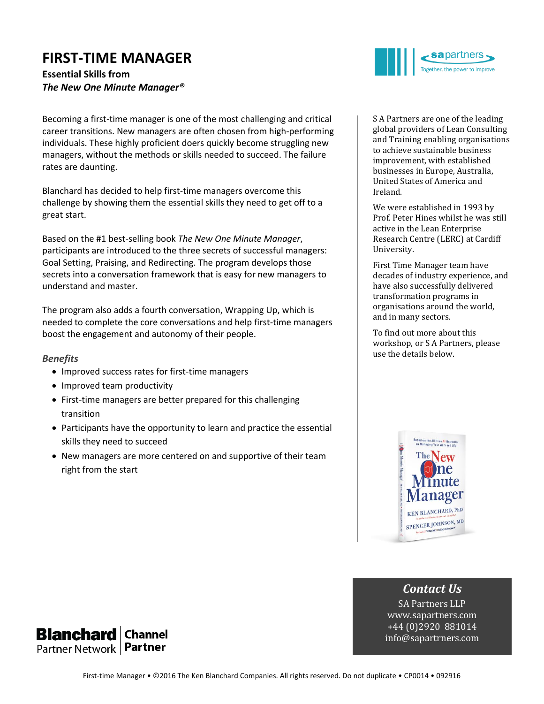# **FIRST-TIME MANAGER**

**Essential Skills from**  *The New One Minute Manager®*

Becoming a first-time manager is one of the most challenging and critical career transitions. New managers are often chosen from high-performing individuals. These highly proficient doers quickly become struggling new managers, without the methods or skills needed to succeed. The failure rates are daunting.

Blanchard has decided to help first-time managers overcome this challenge by showing them the essential skills they need to get off to a great start.

Based on the #1 best-selling book *The New One Minute Manager*, participants are introduced to the three secrets of successful managers: Goal Setting, Praising, and Redirecting. The program develops those secrets into a conversation framework that is easy for new managers to understand and master.

The program also adds a fourth conversation, Wrapping Up, which is needed to complete the core conversations and help first-time managers boost the engagement and autonomy of their people.

#### *Benefits*

- Improved success rates for first-time managers
- Improved team productivity
- First-time managers are better prepared for this challenging transition
- Participants have the opportunity to learn and practice the essential skills they need to succeed
- New managers are more centered on and supportive of their team right from the start



S A Partners are one of the leading global providers of Lean Consulting and Training enabling organisations to achieve sustainable business improvement, with established businesses in Europe, Australia, United States of America and Ireland.

We were established in 1993 by Prof. Peter Hines whilst he was still active in the Lean Enterprise Research Centre (LERC) at Cardiff University.

First Time Manager team have decades of industry experience, and have also successfully delivered transformation programs in organisations around the world, and in many sectors.

To find out more about this workshop, or S A Partners, please use the details below.



## *Contact Us*

SA Partners LLP www.sapartners.com +44 (0)2920 881014 info@sapartrners.com